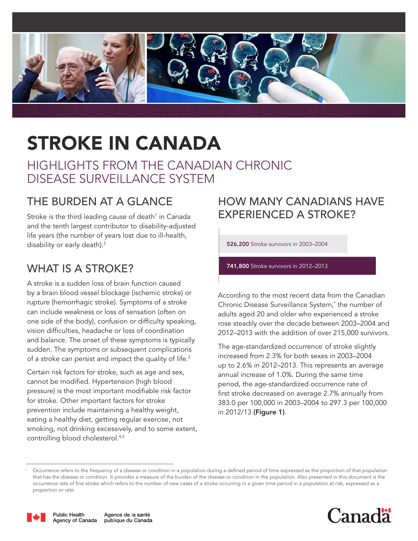

# STROKE IN CANADA

HIGHLIGHTS FROM THE CANADIAN CHRONIC DISEASE SURVEILLANCE SYSTEM

# THE BURDEN AT A GLANCE

Stroke is the third leading cause of death<sup>1</sup> in Canada and the tenth largest contributor to disability-adjusted life years (the number of years lost due to ill-health, disability or early death).<sup>2</sup>

# WHAT IS A STROKE?

A stroke is a sudden loss of brain function caused by a brain blood vessel blockage (ischemic stroke) or rupture (hemorrhagic stroke). Symptoms of a stroke can include weakness or loss of sensation (often on one side of the body), confusion or difficulty speaking, vision difficulties, headache or loss of coordination and balance. The onset of these symptoms is typically sudden. The symptoms or subsequent complications of a stroke can persist and impact the quality of life.3

Certain risk factors for stroke, such as age and sex, cannot be modified. Hypertension (high blood pressure) is the most important modifiable risk factor for stroke. Other important factors for stroke prevention include maintaining a healthy weight, eating a healthy diet, getting regular exercise, not smoking, not drinking excessively, and to some extent, controlling blood cholesterol.4,5

## HOW MANY CANADIANS HAVE EXPERIENCED A STROKE?

526,200 Stroke survivors in 2003–2004

741,800 Stroke survivors in 2012–2013

According to the most recent data from the Canadian Chronic Disease Surveillance System,[\\*](#page-4-0) the number of adults aged 20 and older who experienced a stroke rose steadily over the decade between 2003–2004 and 2012–2013 with the addition of over 215,000 survivors.

The age-standardized occurrence<sup>i</sup> of stroke slightly increased from 2.3% for both sexes in 2003–2004 up to 2.6% in 2012–2013. This represents an average annual increase of 1.0%. During the same time period, the age-standardized occurrence rate of first stroke decreased on average 2.7% annually from 383.0 per 100,000 in 2003–2004 to 297.3 per 100,000 in 2012/13 (Figure 1).

<sup>&</sup>lt;sup>i</sup> Occurrence refers to the frequency of a disease or condition in a population during a defined period of time expressed as the proportion of that population that has the disease or condition. It provides a measure of the burden of the disease or condition in the population. Also presented in this document is the occurrence rate of first stroke which refers to the number of new cases of a stroke occurring in a given time period in a population at risk, expressed as a proportion or rate.



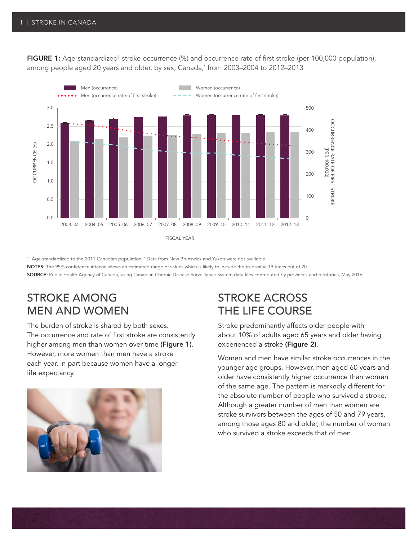**FIGURE 1:** Age-standardized<sup>†</sup> stroke occurrence (%) and occurrence rate of first stroke (per 100,000 population), among people aged 20 years and older, by sex, Canada,\* from 2003–2004 to 2012–2013



 $^\dagger$  Age-standardized to the 2011 Canadian population.  $^*$  Data from New Brunswick and Yukon were not available.

NOTES: The 95% confidence interval shows an estimated range of values which is likely to include the true value 19 times out of 20.

SOURCE: Public Health Agency of Canada, using Canadian Chronic Disease Surveillance System data files contributed by provinces and territories, May 2016.

## STROKE AMONG MEN AND WOMEN

The burden of stroke is shared by both sexes. The occurrence and rate of first stroke are consistently higher among men than women over time (Figure 1). However, more women than men have a stroke each year, in part because women have a longer life expectancy.



#### STROKE ACROSS THE LIFE COURSE

Stroke predominantly affects older people with about 10% of adults aged 65 years and older having experienced a stroke (Figure 2).

Women and men have similar stroke occurrences in the younger age groups. However, men aged 60 years and older have consistently higher occurrence than women of the same age. The pattern is markedly different for the absolute number of people who survived a stroke. Although a greater number of men than women are stroke survivors between the ages of 50 and 79 years, among those ages 80 and older, the number of women who survived a stroke exceeds that of men.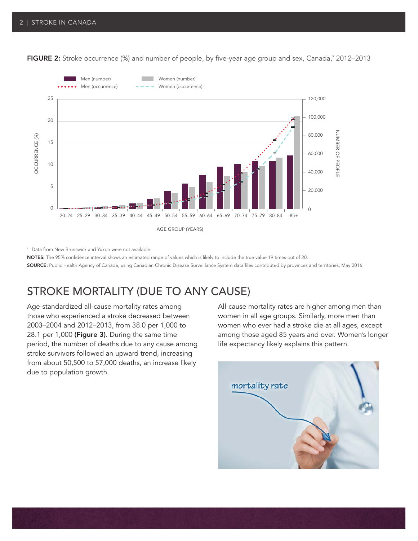

**FIGURE 2:** Stroke occurrence (%) and number of people, by five-year age group and sex, Canada,\* 2012–2013

\* Data from New Brunswick and Yukon were not available.

NOTES: The 95% confidence interval shows an estimated range of values which is likely to include the true value 19 times out of 20. SOURCE: Public Health Agency of Canada, using Canadian Chronic Disease Surveillance System data files contributed by provinces and territories, May 2016.

## STROKE MORTALITY (DUE TO ANY CAUSE)

Age-standardized all-cause mortality rates among those who experienced a stroke decreased between 2003–2004 and 2012–2013, from 38.0 per 1,000 to 28.1 per 1,000 (Figure 3). During the same time period, the number of deaths due to any cause among stroke survivors followed an upward trend, increasing from about 50,500 to 57,000 deaths, an increase likely due to population growth.

All-cause mortality rates are higher among men than women in all age groups. Similarly, more men than women who ever had a stroke die at all ages, except among those aged 85 years and over. Women's longer life expectancy likely explains this pattern.

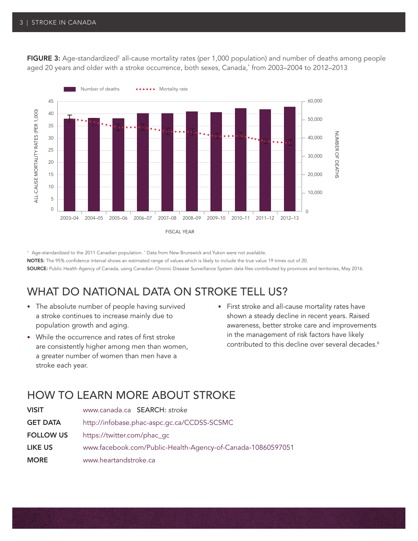**FIGURE 3:** Age-standardized<sup>†</sup> all-cause mortality rates (per 1,000 population) and number of deaths among people aged 20 years and older with a stroke occurrence, both sexes, Canada,\* from 2003–2004 to 2012–2013



 $^\dagger$  Age-standardized to the 2011 Canadian population.  $^*$  Data from New Brunswick and Yukon were not available. NOTES: The 95% confidence interval shows an estimated range of values which is likely to include the true value 19 times out of 20.

SOURCE: Public Health Agency of Canada, using Canadian Chronic Disease Surveillance System data files contributed by provinces and territories, May 2016.

## WHAT DO NATIONAL DATA ON STROKE TELL US?

- The absolute number of people having survived a stroke continues to increase mainly due to population growth and aging.
- While the occurrence and rates of first stroke are consistently higher among men than women, a greater number of women than men have a stroke each year.
- First stroke and all-cause mortality rates have shown a steady decline in recent years. Raised awareness, better stroke care and improvements in the management of risk factors have likely contributed to this decline over several decades.<sup>6</sup>

## HOW TO LEARN MORE ABOUT STROKE

| <b>VISIT</b>     | www.canada.ca SEARCH: stroke                                |
|------------------|-------------------------------------------------------------|
| <b>GET DATA</b>  | http://infobase.phac-aspc.gc.ca/CCDSS-SCSMC                 |
| <b>FOLLOW US</b> | https://twitter.com/phac_gc                                 |
| <b>LIKE US</b>   | www.facebook.com/Public-Health-Agency-of-Canada-10860597051 |
| <b>MORE</b>      | www.heartandstroke.ca                                       |